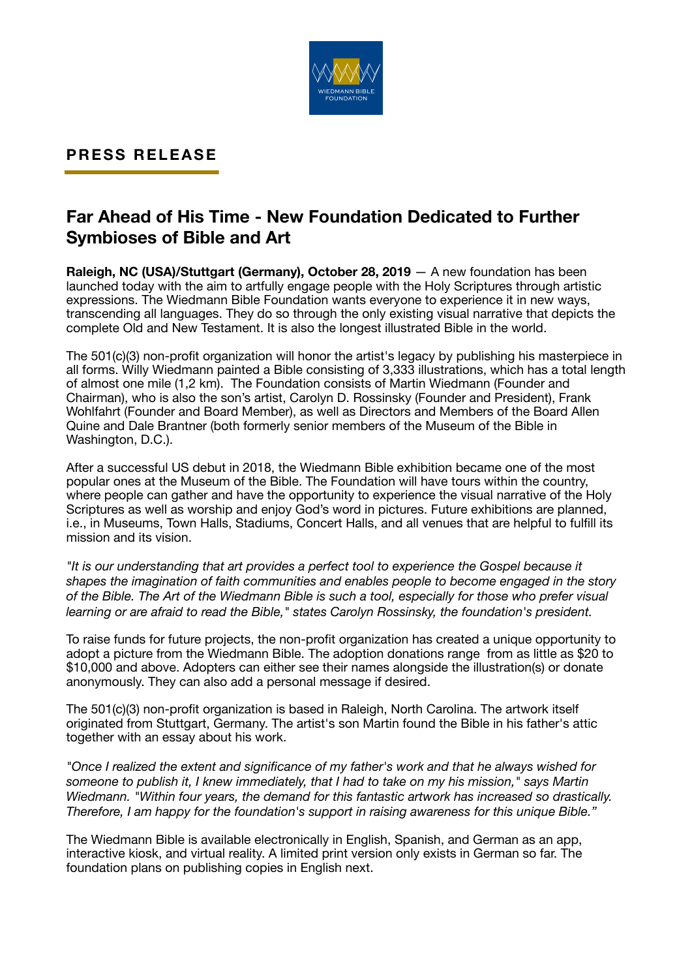

## **PRESS RELEASE**

# **Far Ahead of His Time - New Foundation Dedicated to Further Symbioses of Bible and Art**

**Raleigh, NC (USA)/Stuttgart (Germany), October 28, 2019** — A new foundation has been launched today with the aim to artfully engage people with the Holy Scriptures through artistic expressions. The Wiedmann Bible Foundation wants everyone to experience it in new ways, transcending all languages. They do so through the only existing visual narrative that depicts the complete Old and New Testament. It is also the longest illustrated Bible in the world.

The 501(c)(3) non-profit organization will honor the artist's legacy by publishing his masterpiece in all forms. Willy Wiedmann painted a Bible consisting of 3,333 illustrations, which has a total length of almost one mile (1,2 km). The Foundation consists of Martin Wiedmann (Founder and Chairman), who is also the son's artist, Carolyn D. Rossinsky (Founder and President), Frank Wohlfahrt (Founder and Board Member), as well as Directors and Members of the Board Allen Quine and Dale Brantner (both formerly senior members of the Museum of the Bible in Washington, D.C.).

After a successful US debut in 2018, the Wiedmann Bible exhibition became one of the most popular ones at the Museum of the Bible. The Foundation will have tours within the country, where people can gather and have the opportunity to experience the visual narrative of the Holy Scriptures as well as worship and enjoy God's word in pictures. Future exhibitions are planned, i.e., in Museums, Town Halls, Stadiums, Concert Halls, and all venues that are helpful to fulfill its mission and its vision.

*"It is our understanding that art provides a perfect tool to experience the Gospel because it shapes the imagination of faith communities and enables people to become engaged in the story of the Bible. The Art of the Wiedmann Bible is such a tool, especially for those who prefer visual learning or are afraid to read the Bible," states Carolyn Rossinsky, the foundation's president.* 

To raise funds for future projects, the non-profit organization has created a unique opportunity to adopt a picture from the Wiedmann Bible. The adoption donations range from as little as \$20 to \$10,000 and above. Adopters can either see their names alongside the illustration(s) or donate anonymously. They can also add a personal message if desired.

The 501(c)(3) non-profit organization is based in Raleigh, North Carolina. The artwork itself originated from Stuttgart, Germany. The artist's son Martin found the Bible in his father's attic together with an essay about his work.

*"Once I realized the extent and significance of my father's work and that he always wished for someone to publish it, I knew immediately, that I had to take on my his mission," says Martin Wiedmann. "Within four years, the demand for this fantastic artwork has increased so drastically. Therefore, I am happy for the foundation's support in raising awareness for this unique Bible."* 

The Wiedmann Bible is available electronically in English, Spanish, and German as an app, interactive kiosk, and virtual reality. A limited print version only exists in German so far. The foundation plans on publishing copies in English next.